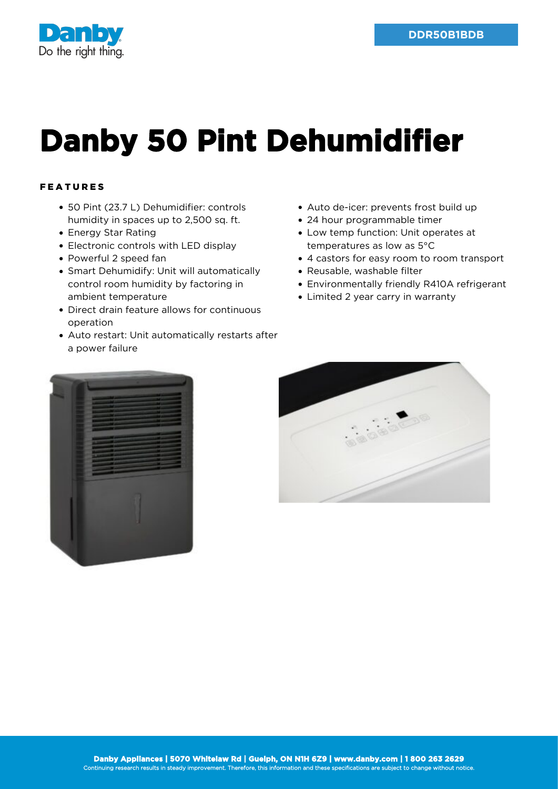

## **Danby 50 Pint Dehumidifier**

## FEATURES

- 50 Pint (23.7 L) Dehumidifier: controls humidity in spaces up to 2,500 sq. ft.
- Energy Star Rating
- Electronic controls with LED display
- Powerful 2 speed fan
- Smart Dehumidify: Unit will automatically control room humidity by factoring in ambient temperature
- Direct drain feature allows for continuous operation
- Auto restart: Unit automatically restarts after a power failure
- Auto de-icer: prevents frost build up
- 24 hour programmable timer
- Low temp function: Unit operates at temperatures as low as 5°C
- 4 castors for easy room to room transport
- Reusable, washable filter
- Environmentally friendly R410A refrigerant
- Limited 2 year carry in warranty